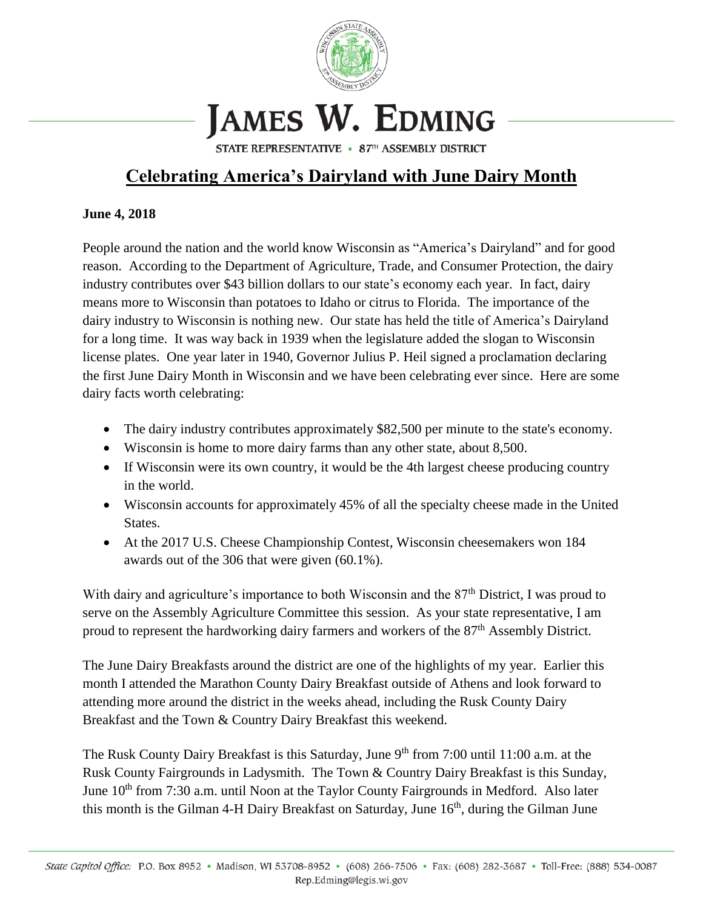

## JAMES W. EDMING

STATE REPRESENTATIVE • 87TH ASSEMBLY DISTRICT

## **Celebrating America's Dairyland with June Dairy Month**

## **June 4, 2018**

People around the nation and the world know Wisconsin as "America's Dairyland" and for good reason. According to the Department of Agriculture, Trade, and Consumer Protection, the dairy industry contributes over \$43 billion dollars to our state's economy each year. In fact, dairy means more to Wisconsin than potatoes to Idaho or citrus to Florida. The importance of the dairy industry to Wisconsin is nothing new. Our state has held the title of America's Dairyland for a long time. It was way back in 1939 when the legislature added the slogan to Wisconsin license plates. One year later in 1940, Governor Julius P. Heil signed a proclamation declaring the first June Dairy Month in Wisconsin and we have been celebrating ever since. Here are some dairy facts worth celebrating:

- The dairy industry contributes approximately \$82,500 per minute to the state's economy.
- Wisconsin is home to more dairy farms than any other state, about 8,500.
- If Wisconsin were its own country, it would be the 4th largest cheese producing country in the world.
- Wisconsin accounts for approximately 45% of all the specialty cheese made in the United States.
- At the 2017 U.S. Cheese Championship Contest, Wisconsin cheesemakers won 184 awards out of the 306 that were given (60.1%).

With dairy and agriculture's importance to both Wisconsin and the  $87<sup>th</sup>$  District, I was proud to serve on the Assembly Agriculture Committee this session. As your state representative, I am proud to represent the hardworking dairy farmers and workers of the 87<sup>th</sup> Assembly District.

The June Dairy Breakfasts around the district are one of the highlights of my year. Earlier this month I attended the Marathon County Dairy Breakfast outside of Athens and look forward to attending more around the district in the weeks ahead, including the Rusk County Dairy Breakfast and the Town & Country Dairy Breakfast this weekend.

The Rusk County Dairy Breakfast is this Saturday, June 9<sup>th</sup> from 7:00 until 11:00 a.m. at the Rusk County Fairgrounds in Ladysmith. The Town & Country Dairy Breakfast is this Sunday, June 10<sup>th</sup> from 7:30 a.m. until Noon at the Taylor County Fairgrounds in Medford. Also later this month is the Gilman 4-H Dairy Breakfast on Saturday, June 16th, during the Gilman June